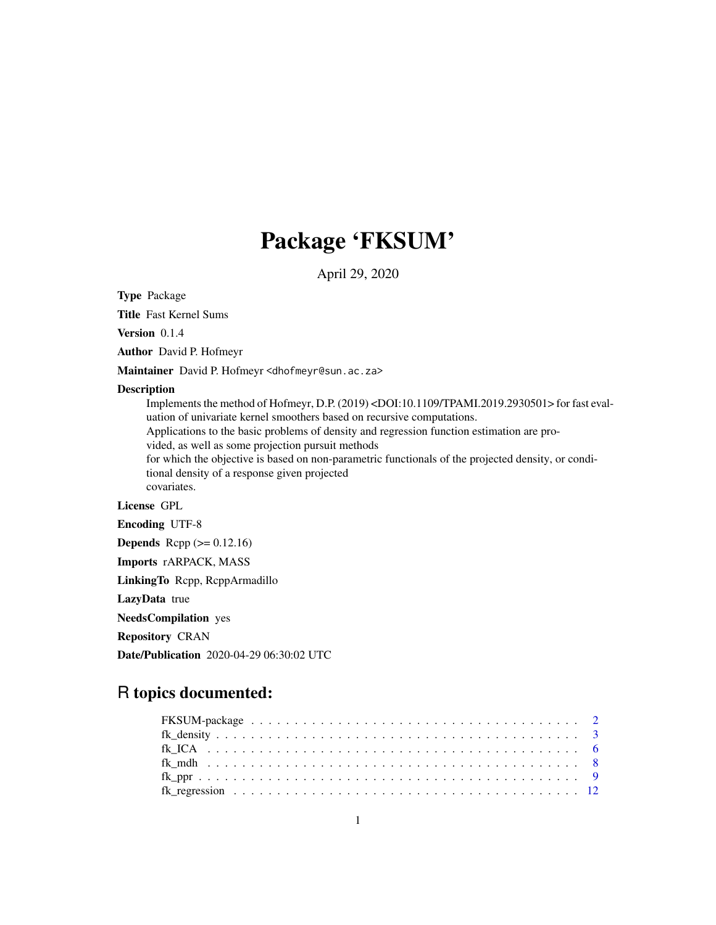# Package 'FKSUM'

April 29, 2020

Type Package

Title Fast Kernel Sums

Version 0.1.4

Author David P. Hofmeyr

Maintainer David P. Hofmeyr <dhofmeyr@sun.ac.za>

#### Description

Implements the method of Hofmeyr, D.P. (2019) <DOI:10.1109/TPAMI.2019.2930501> for fast evaluation of univariate kernel smoothers based on recursive computations.

Applications to the basic problems of density and regression function estimation are pro-

vided, as well as some projection pursuit methods

for which the objective is based on non-parametric functionals of the projected density, or conditional density of a response given projected covariates.

License GPL

Encoding UTF-8

**Depends** Rcpp  $(>= 0.12.16)$ 

Imports rARPACK, MASS

LinkingTo Rcpp, RcppArmadillo

LazyData true

NeedsCompilation yes

Repository CRAN

Date/Publication 2020-04-29 06:30:02 UTC

# R topics documented: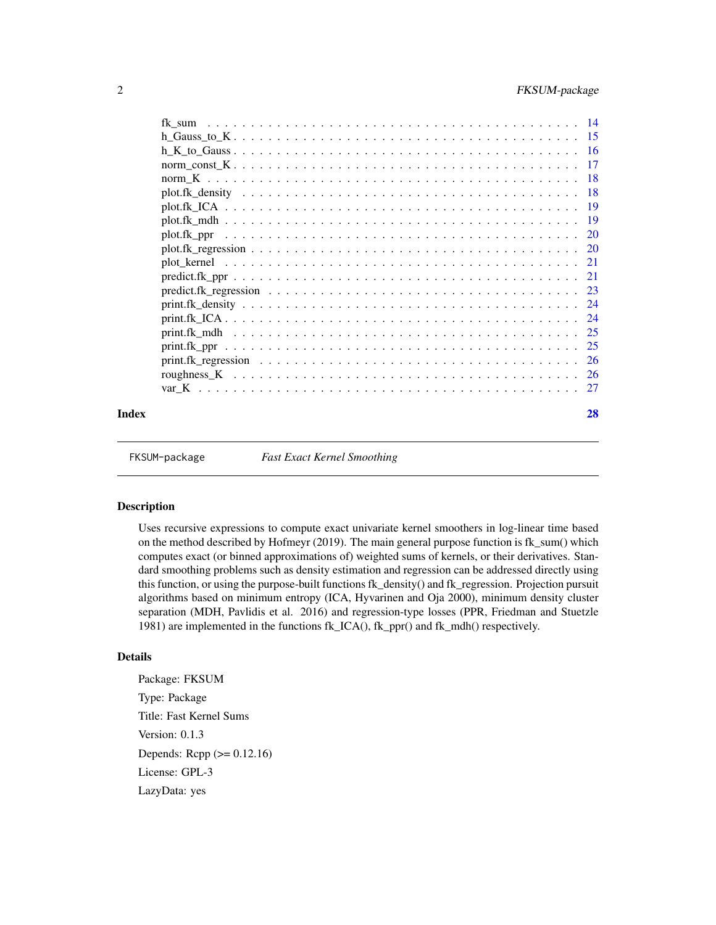<span id="page-1-0"></span>

| Index |             | 28 |
|-------|-------------|----|
|       |             |    |
|       |             |    |
|       |             |    |
|       |             |    |
|       |             |    |
|       |             |    |
|       |             |    |
|       |             |    |
|       |             |    |
|       |             |    |
|       |             |    |
|       | plot.fk_ppr |    |
|       |             |    |
|       |             |    |
|       |             |    |
|       |             |    |
|       |             | 17 |
|       |             |    |
|       |             |    |
|       | fk sum      |    |

FKSUM-package *Fast Exact Kernel Smoothing*

#### Description

Uses recursive expressions to compute exact univariate kernel smoothers in log-linear time based on the method described by Hofmeyr (2019). The main general purpose function is fk\_sum() which computes exact (or binned approximations of) weighted sums of kernels, or their derivatives. Standard smoothing problems such as density estimation and regression can be addressed directly using this function, or using the purpose-built functions fk\_density() and fk\_regression. Projection pursuit algorithms based on minimum entropy (ICA, Hyvarinen and Oja 2000), minimum density cluster separation (MDH, Pavlidis et al. 2016) and regression-type losses (PPR, Friedman and Stuetzle 1981) are implemented in the functions fk\_ICA(), fk\_ppr() and fk\_mdh() respectively.

#### Details

Package: FKSUM Type: Package Title: Fast Kernel Sums Version: 0.1.3 Depends: Rcpp (>= 0.12.16) License: GPL-3 LazyData: yes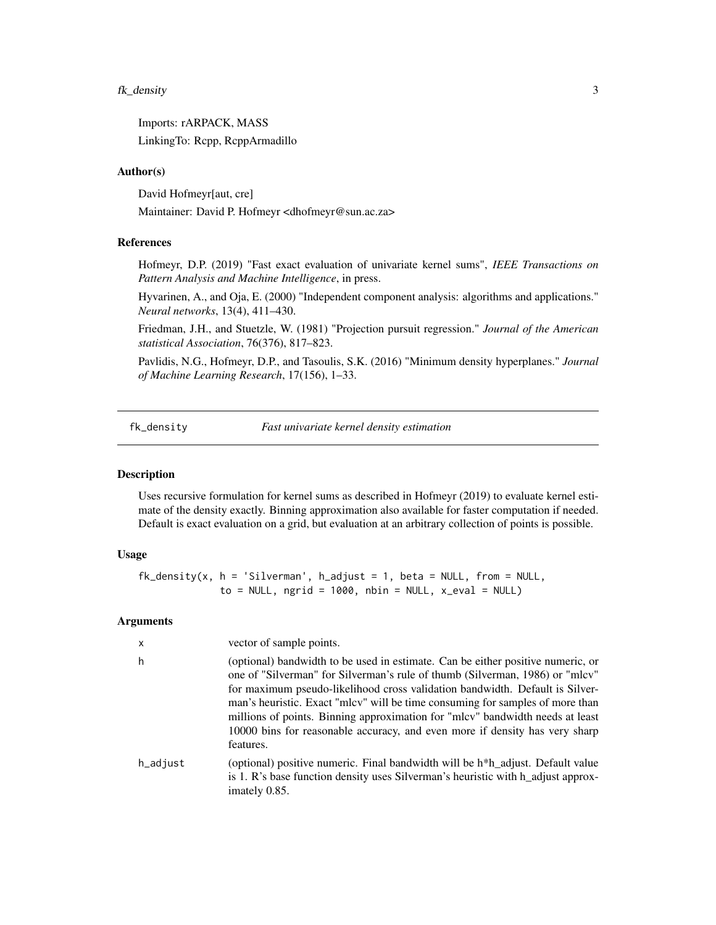# <span id="page-2-0"></span>fk\_density 3

Imports: rARPACK, MASS LinkingTo: Rcpp, RcppArmadillo

#### Author(s)

David Hofmeyr[aut, cre]

Maintainer: David P. Hofmeyr <dhofmeyr@sun.ac.za>

#### References

Hofmeyr, D.P. (2019) "Fast exact evaluation of univariate kernel sums", *IEEE Transactions on Pattern Analysis and Machine Intelligence*, in press.

Hyvarinen, A., and Oja, E. (2000) "Independent component analysis: algorithms and applications." *Neural networks*, 13(4), 411–430.

Friedman, J.H., and Stuetzle, W. (1981) "Projection pursuit regression." *Journal of the American statistical Association*, 76(376), 817–823.

Pavlidis, N.G., Hofmeyr, D.P., and Tasoulis, S.K. (2016) "Minimum density hyperplanes." *Journal of Machine Learning Research*, 17(156), 1–33.

fk\_density *Fast univariate kernel density estimation*

#### Description

Uses recursive formulation for kernel sums as described in Hofmeyr (2019) to evaluate kernel estimate of the density exactly. Binning approximation also available for faster computation if needed. Default is exact evaluation on a grid, but evaluation at an arbitrary collection of points is possible.

# Usage

```
fk_density(x, h = 'Silverman', h_djust = 1, beta = NULL, from = NULL,to = NULL, ngrid = 1000, nbin = NULL, x<sub>-</sub>eval = NULL)
```

| x        | vector of sample points.                                                                                                                                                                                                                                                                                                                                                                                                                                                                                      |
|----------|---------------------------------------------------------------------------------------------------------------------------------------------------------------------------------------------------------------------------------------------------------------------------------------------------------------------------------------------------------------------------------------------------------------------------------------------------------------------------------------------------------------|
| h        | (optional) bandwidth to be used in estimate. Can be either positive numeric, or<br>one of "Silverman" for Silverman's rule of thumb (Silverman, 1986) or "mlcv"<br>for maximum pseudo-likelihood cross validation bandwidth. Default is Silver-<br>man's heuristic. Exact "mlcv" will be time consuming for samples of more than<br>millions of points. Binning approximation for "mlcv" bandwidth needs at least<br>10000 bins for reasonable accuracy, and even more if density has very sharp<br>features. |
| h_adjust | (optional) positive numeric. Final bandwidth will be h*h_adjust. Default value<br>is 1. R's base function density uses Silverman's heuristic with h_adjust approx-<br>imately 0.85.                                                                                                                                                                                                                                                                                                                           |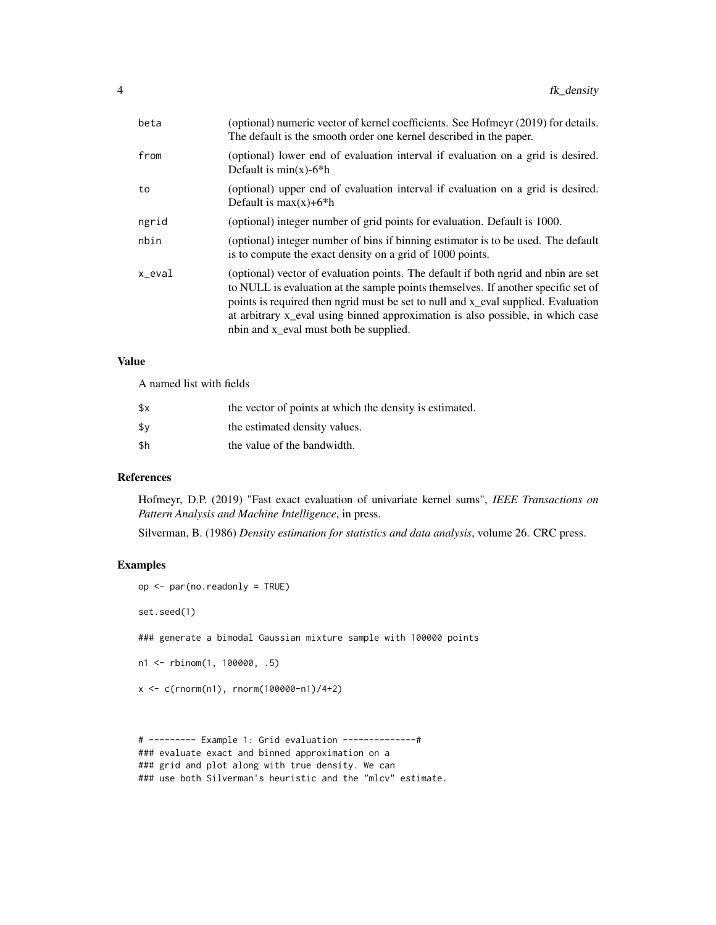| beta   | (optional) numeric vector of kernel coefficients. See Hofmeyr (2019) for details.<br>The default is the smooth order one kernel described in the paper.                                                                                                                                                                                                                                  |
|--------|------------------------------------------------------------------------------------------------------------------------------------------------------------------------------------------------------------------------------------------------------------------------------------------------------------------------------------------------------------------------------------------|
| from   | (optional) lower end of evaluation interval if evaluation on a grid is desired.<br>Default is $min(x)$ -6 <sup>*</sup> h                                                                                                                                                                                                                                                                 |
| to     | (optional) upper end of evaluation interval if evaluation on a grid is desired.<br>Default is $max(x)+6*h$                                                                                                                                                                                                                                                                               |
| ngrid  | (optional) integer number of grid points for evaluation. Default is 1000.                                                                                                                                                                                                                                                                                                                |
| nbin   | (optional) integer number of bins if binning estimator is to be used. The default<br>is to compute the exact density on a grid of 1000 points.                                                                                                                                                                                                                                           |
| x_eval | (optional) vector of evaluation points. The default if both ngrid and nbin are set<br>to NULL is evaluation at the sample points themselves. If another specific set of<br>points is required then ngrid must be set to null and x_eval supplied. Evaluation<br>at arbitrary x_eval using binned approximation is also possible, in which case<br>nbin and x_eval must both be supplied. |

# Value

A named list with fields

| \$x | the vector of points at which the density is estimated. |
|-----|---------------------------------------------------------|
| \$٧ | the estimated density values.                           |
| \$h | the value of the bandwidth.                             |

#### References

Hofmeyr, D.P. (2019) "Fast exact evaluation of univariate kernel sums", *IEEE Transactions on Pattern Analysis and Machine Intelligence*, in press.

Silverman, B. (1986) *Density estimation for statistics and data analysis*, volume 26. CRC press.

# Examples

```
op <- par(no.readonly = TRUE)
set.seed(1)
### generate a bimodal Gaussian mixture sample with 100000 points
n1 <- rbinom(1, 100000, .5)
x < -c(rnorm(n1), rnorm(100000-n1)/4+2)
```
# --------- Example 1: Grid evaluation --------------# ### evaluate exact and binned approximation on a ### grid and plot along with true density. We can ### use both Silverman's heuristic and the "mlcv" estimate.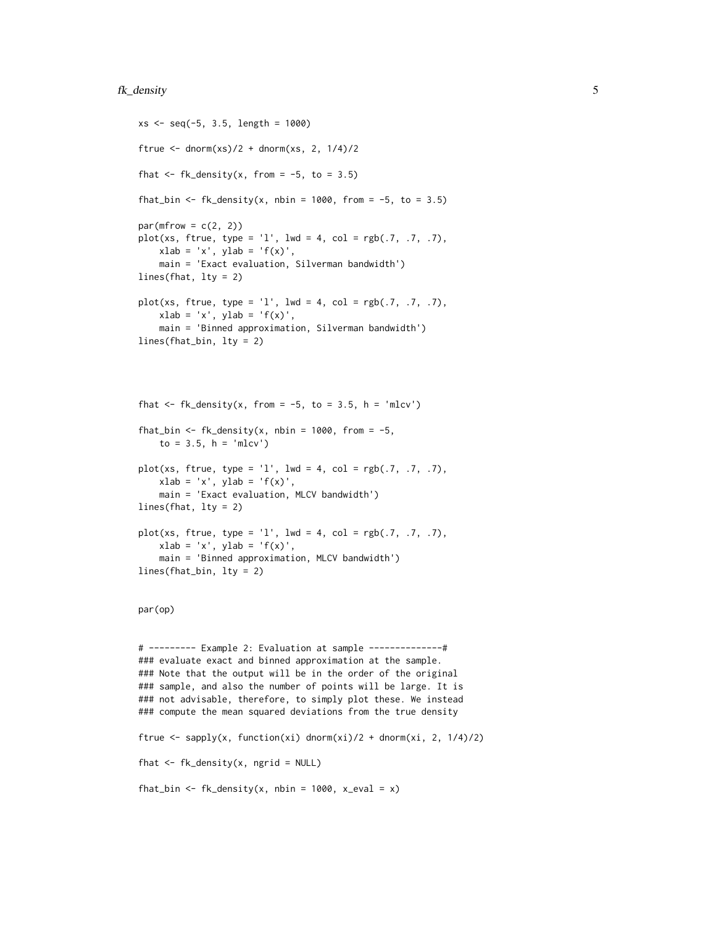# fk\_density 5

```
xs <- seq(-5, 3.5, length = 1000)
ftrue <- dnorm(xs)/2 + dnorm(xs, 2, 1/4)/2fhat \leq fk_density(x, from = -5, to = 3.5)
fhat_bin <- fk_density(x, nbin = 1000, from = -5, to = 3.5)
par(mfrow = c(2, 2))plot(xs, ftrue, type = 'l', lwd = 4, col = rgb(.7, .7, .7),xlab = 'x', ylab = 'f(x)',main = 'Exact evaluation, Silverman bandwidth')
lines(fhat, lty = 2)
plot(xs, ftrue, type = 'l', lwd = 4, col = rgb(.7, .7, .7),xlab = 'x', ylab = 'f(x)',main = 'Binned approximation, Silverman bandwidth')
lines(fhat_bin, lty = 2)
```

```
fhat \leq fk_density(x, from = -5, to = 3.5, h = 'mlcv')
fhat_bin <- fk_density(x, nbin = 1000, from = -5,
   to = 3.5, h = 'mlcv')plot(xs, ftrue, type = 'l', lwd = 4, col = rgb(.7, .7, .7),xlab = 'x', ylab = 'f(x)',main = 'Exact evaluation, MLCV bandwidth')
lines(fhat, lty = 2)
plot(xs, ftrue, type = 'l', lwd = 4, col = rgb(.7, .7, .7),xlab = 'x', ylab = 'f(x)',main = 'Binned approximation, MLCV bandwidth')
```
lines(fhat\_bin, lty = 2)

#### par(op)

# --------- Example 2: Evaluation at sample --------------# ### evaluate exact and binned approximation at the sample. ### Note that the output will be in the order of the original ### sample, and also the number of points will be large. It is ### not advisable, therefore, to simply plot these. We instead ### compute the mean squared deviations from the true density

```
ftrue <- sapply(x, function(xi) dnorm(xi)/2 + dnorm(xi, 2, 1/4)/2)
fhat \leq fk_density(x, ngrid = NULL)
fhat_bin <- fk_density(x, nbin = 1000, x_eval = x)
```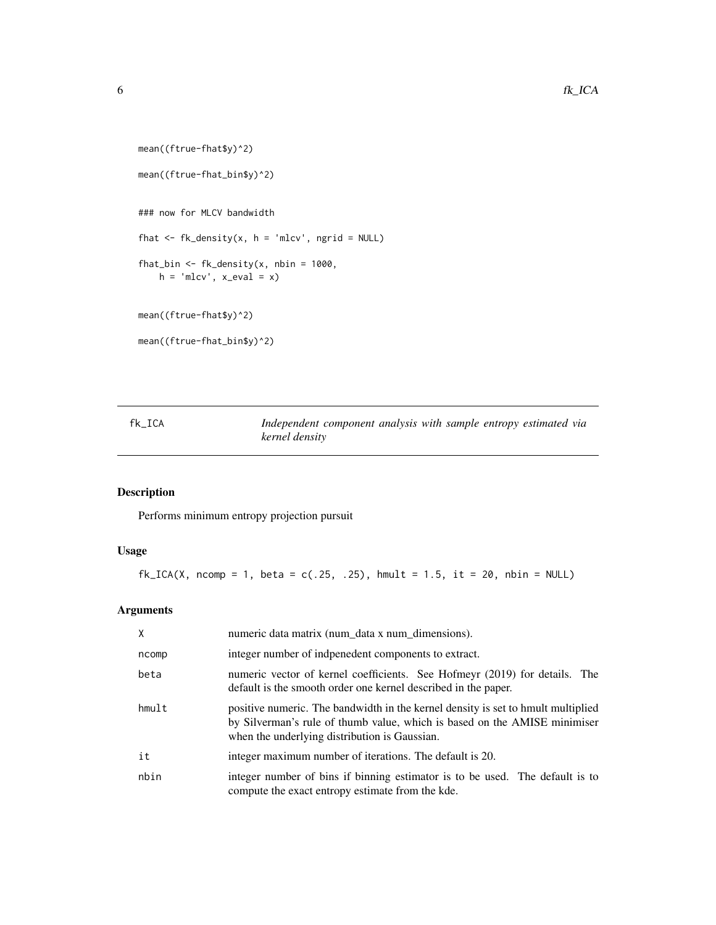```
mean((ftrue-fhat$y)^2)
mean((ftrue-fhat_bin$y)^2)
### now for MLCV bandwidth
fhat \leq fk_density(x, h = 'mlcv', ngrid = NULL)
fhat_bin <- fk_density(x, nbin = 1000,
   h = 'mlcv', x_eval = x)mean((ftrue-fhat$y)^2)
mean((ftrue-fhat_bin$y)^2)
```
fk\_ICA *Independent component analysis with sample entropy estimated via kernel density*

# Description

Performs minimum entropy projection pursuit

# Usage

 $fk\_ICA(X, ncomp = 1, beta = c(.25, .25), hmult = 1.5, it = 20, hbin = NULL)$ 

| X     | numeric data matrix (num_data x num_dimensions).                                                                                                                                                               |
|-------|----------------------------------------------------------------------------------------------------------------------------------------------------------------------------------------------------------------|
| ncomp | integer number of indpenedent components to extract.                                                                                                                                                           |
| beta  | numeric vector of kernel coefficients. See Hofmeyr (2019) for details. The<br>default is the smooth order one kernel described in the paper.                                                                   |
| hmult | positive numeric. The bandwidth in the kernel density is set to hmult multiplied<br>by Silverman's rule of thumb value, which is based on the AMISE minimiser<br>when the underlying distribution is Gaussian. |
| it    | integer maximum number of iterations. The default is 20.                                                                                                                                                       |
| nbin  | integer number of bins if binning estimator is to be used. The default is to<br>compute the exact entropy estimate from the kde.                                                                               |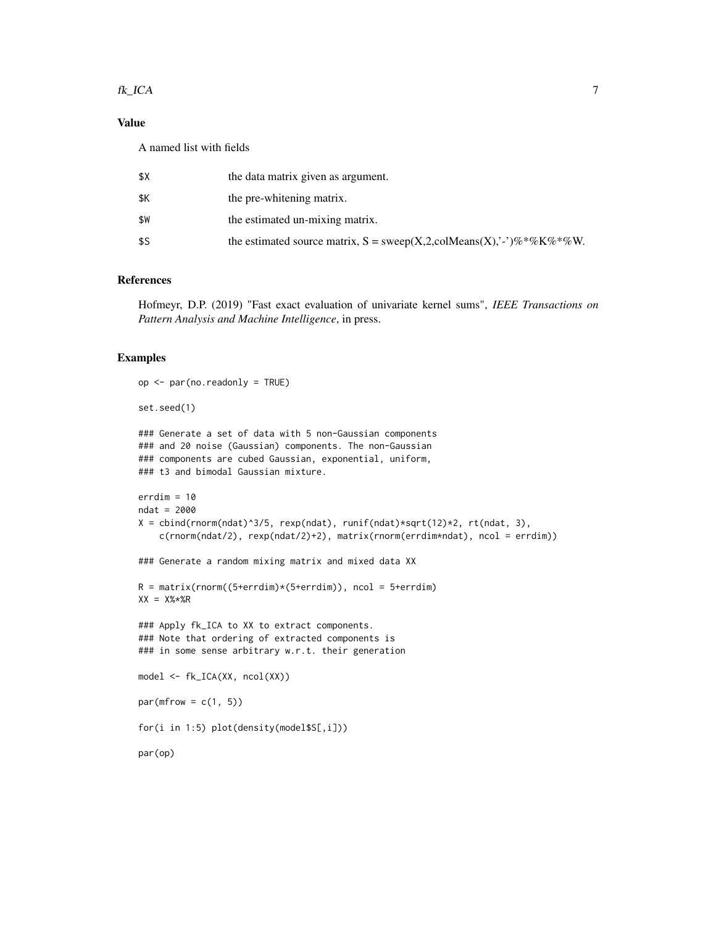#### $f_{k}\sim$   $7\sigma$

# Value

A named list with fields

| the estimated source matrix, $S = \text{ sweep}(X, 2, \text{colMeans}(X), \cdot')\% * \%K\% * \%W$ . |
|------------------------------------------------------------------------------------------------------|
|                                                                                                      |

# References

Hofmeyr, D.P. (2019) "Fast exact evaluation of univariate kernel sums", *IEEE Transactions on Pattern Analysis and Machine Intelligence*, in press.

#### Examples

```
op <- par(no.readonly = TRUE)
set.seed(1)
### Generate a set of data with 5 non-Gaussian components
### and 20 noise (Gaussian) components. The non-Gaussian
### components are cubed Gaussian, exponential, uniform,
### t3 and bimodal Gaussian mixture.
errdim = 10
ndat = 2000
X = \text{cbind}(\text{rnorm}(\text{ndat})^3/5, \text{rexp}(\text{ndat}), \text{runif}(\text{ndat})*sqrt(12)*2, \text{rt}(\text{ndat}, 3),c(rnorm(ndat/2), rexp(ndat/2)+2), matrix(rnorm(errdim*ndat), ncol = errdim))
### Generate a random mixing matrix and mixed data XX
R = matrix(rnorm((5+errdim)*(5+errdim)), ncol = 5+errdim)
XX = X\% * \$R### Apply fk_ICA to XX to extract components.
### Note that ordering of extracted components is
### in some sense arbitrary w.r.t. their generation
model <- fk_ICA(XX, ncol(XX))
par(mfrow = c(1, 5))for(i in 1:5) plot(density(model$S[,i]))
par(op)
```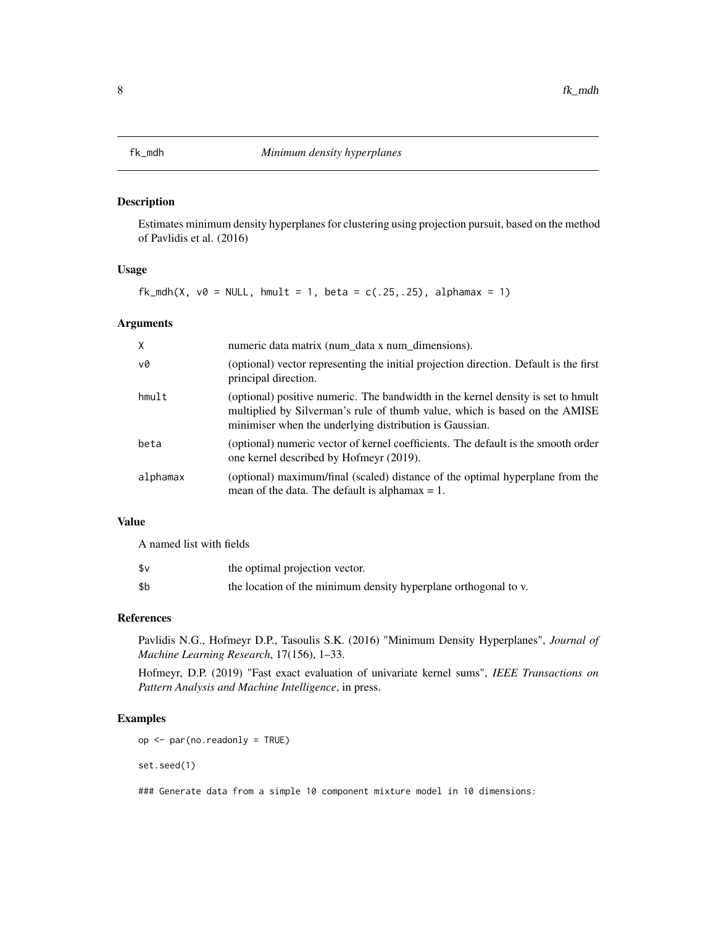<span id="page-7-0"></span>Estimates minimum density hyperplanes for clustering using projection pursuit, based on the method of Pavlidis et al. (2016)

# Usage

 $fk_mdh(X, v0 = NULL, hmult = 1, beta = c(.25,.25), alphamax = 1)$ 

#### Arguments

| X        | numeric data matrix (num_data x num_dimensions).                                                                                                                                                                          |
|----------|---------------------------------------------------------------------------------------------------------------------------------------------------------------------------------------------------------------------------|
| v0       | (optional) vector representing the initial projection direction. Default is the first<br>principal direction.                                                                                                             |
| hmult    | (optional) positive numeric. The bandwidth in the kernel density is set to hmult<br>multiplied by Silverman's rule of thumb value, which is based on the AMISE<br>minimiser when the underlying distribution is Gaussian. |
| beta     | (optional) numeric vector of kernel coefficients. The default is the smooth order<br>one kernel described by Hofmeyr (2019).                                                                                              |
| alphamax | (optional) maximum/final (scaled) distance of the optimal hyperplane from the<br>mean of the data. The default is alphamax $= 1$ .                                                                                        |

#### Value

A named list with fields

| \$v | the optimal projection vector.                                  |
|-----|-----------------------------------------------------------------|
| \$b | the location of the minimum density hyperplane orthogonal to v. |

#### References

Pavlidis N.G., Hofmeyr D.P., Tasoulis S.K. (2016) "Minimum Density Hyperplanes", *Journal of Machine Learning Research*, 17(156), 1–33.

Hofmeyr, D.P. (2019) "Fast exact evaluation of univariate kernel sums", *IEEE Transactions on Pattern Analysis and Machine Intelligence*, in press.

# Examples

```
op <- par(no.readonly = TRUE)
```
set.seed(1)

### Generate data from a simple 10 component mixture model in 10 dimensions: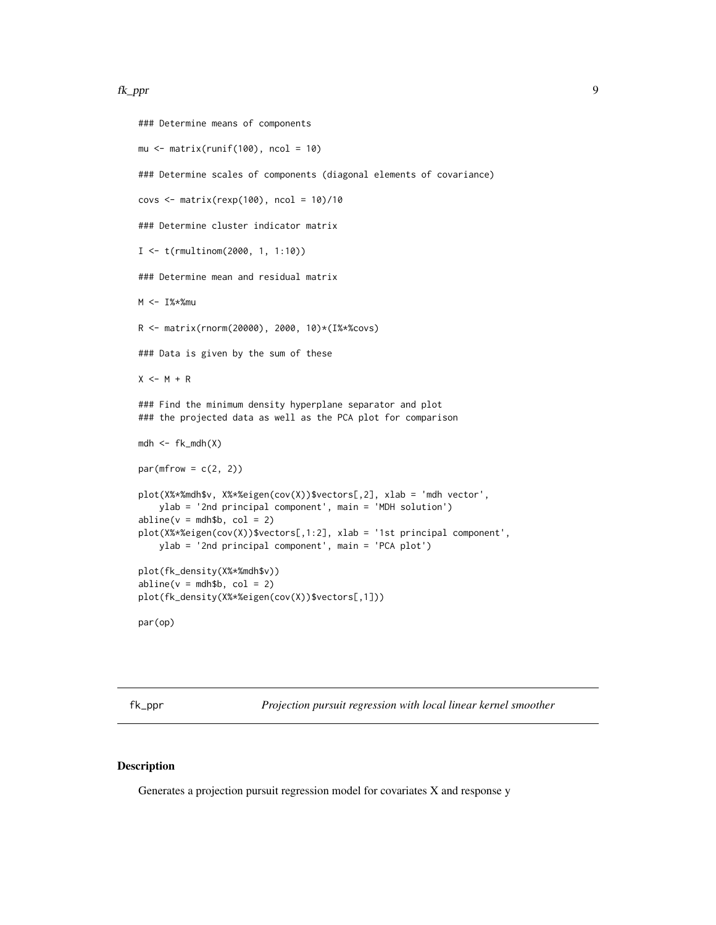#### <span id="page-8-0"></span>fk\_ppr 9

```
### Determine means of components
mu \le matrix(runif(100), ncol = 10)
### Determine scales of components (diagonal elements of covariance)
covs <- matrix(rexp(100), ncol = 10)/10
### Determine cluster indicator matrix
I <- t(rmultinom(2000, 1, 1:10))
### Determine mean and residual matrix
M <- I%*%mu
R <- matrix(rnorm(20000), 2000, 10)*(I%*%covs)
### Data is given by the sum of these
X \leftarrow M + R### Find the minimum density hyperplane separator and plot
### the projected data as well as the PCA plot for comparison
mdh < - fk_mdh(X)par(mfrow = c(2, 2))plot(X%*%mdh$v, X%*%eigen(cov(X))$vectors[,2], xlab = 'mdh vector',
    ylab = '2nd principal component', main = 'MDH solution')
abline(v = mdh$b, col = 2)plot(X%*%eigen(cov(X))$vectors[,1:2], xlab = '1st principal component',
   ylab = '2nd principal component', main = 'PCA plot')
plot(fk_density(X%*%mdh$v))
abline(v = mdh$b, col = 2)plot(fk_density(X%*%eigen(cov(X))$vectors[,1]))
par(op)
```
fk\_ppr *Projection pursuit regression with local linear kernel smoother*

#### Description

Generates a projection pursuit regression model for covariates X and response y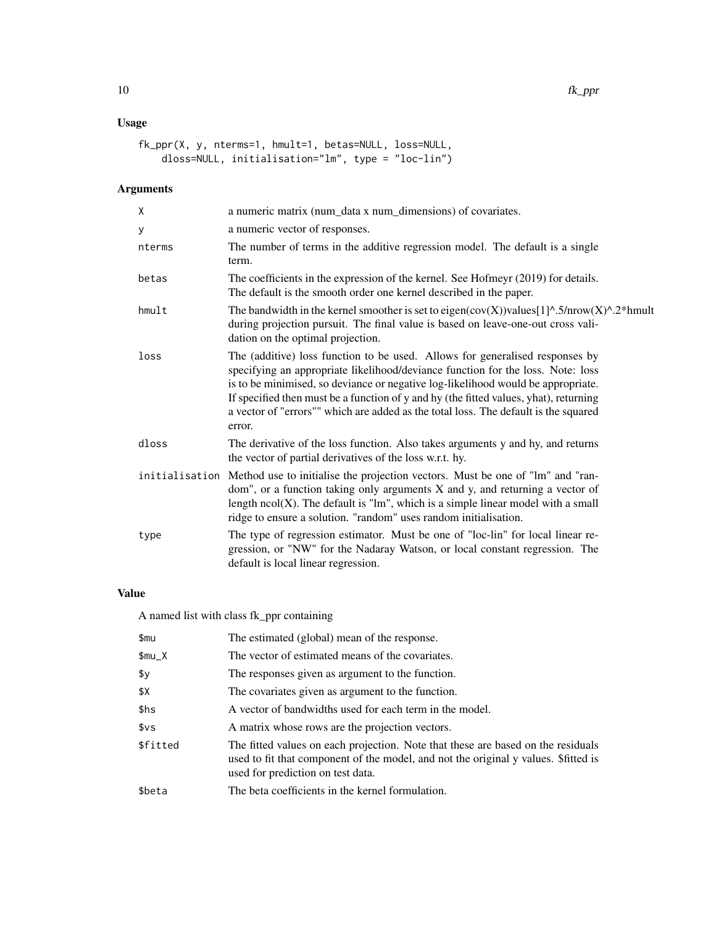# Usage

```
fk_ppr(X, y, nterms=1, hmult=1, betas=NULL, loss=NULL,
   dloss=NULL, initialisation="lm", type = "loc-lin")
```
# Arguments

| X              | a numeric matrix (num_data x num_dimensions) of covariates.                                                                                                                                                                                                                                                                                                                                                                                   |
|----------------|-----------------------------------------------------------------------------------------------------------------------------------------------------------------------------------------------------------------------------------------------------------------------------------------------------------------------------------------------------------------------------------------------------------------------------------------------|
| У              | a numeric vector of responses.                                                                                                                                                                                                                                                                                                                                                                                                                |
| nterms         | The number of terms in the additive regression model. The default is a single<br>term.                                                                                                                                                                                                                                                                                                                                                        |
| betas          | The coefficients in the expression of the kernel. See Hofmeyr (2019) for details.<br>The default is the smooth order one kernel described in the paper.                                                                                                                                                                                                                                                                                       |
| hmult          | The bandwidth in the kernel smoother is set to eigen( $cov(X)$ )values[1]^.5/nrow(X)^.2*hmult<br>during projection pursuit. The final value is based on leave-one-out cross vali-<br>dation on the optimal projection.                                                                                                                                                                                                                        |
| loss           | The (additive) loss function to be used. Allows for generalised responses by<br>specifying an appropriate likelihood/deviance function for the loss. Note: loss<br>is to be minimised, so deviance or negative log-likelihood would be appropriate.<br>If specified then must be a function of y and hy (the fitted values, yhat), returning<br>a vector of "errors"" which are added as the total loss. The default is the squared<br>error. |
| dloss          | The derivative of the loss function. Also takes arguments y and hy, and returns<br>the vector of partial derivatives of the loss w.r.t. hy.                                                                                                                                                                                                                                                                                                   |
| initialisation | Method use to initialise the projection vectors. Must be one of "lm" and "ran-<br>dom", or a function taking only arguments $X$ and $y$ , and returning a vector of<br>length $ncol(X)$ . The default is "lm", which is a simple linear model with a small<br>ridge to ensure a solution. "random" uses random initialisation.                                                                                                                |
| type           | The type of regression estimator. Must be one of "loc-lin" for local linear re-<br>gression, or "NW" for the Nadaray Watson, or local constant regression. The<br>default is local linear regression.                                                                                                                                                                                                                                         |

# Value

A named list with class fk\_ppr containing

| \$mu     | The estimated (global) mean of the response.                                                                                                                                                                 |
|----------|--------------------------------------------------------------------------------------------------------------------------------------------------------------------------------------------------------------|
| \$mu_X   | The vector of estimated means of the covariates.                                                                                                                                                             |
| \$у      | The responses given as argument to the function.                                                                                                                                                             |
| \$Χ      | The covariates given as argument to the function.                                                                                                                                                            |
| \$hs     | A vector of bandwidths used for each term in the model.                                                                                                                                                      |
| \$vs     | A matrix whose rows are the projection vectors.                                                                                                                                                              |
| \$fitted | The fitted values on each projection. Note that these are based on the residuals<br>used to fit that component of the model, and not the original y values. \$fitted is<br>used for prediction on test data. |
| \$beta   | The beta coefficients in the kernel formulation.                                                                                                                                                             |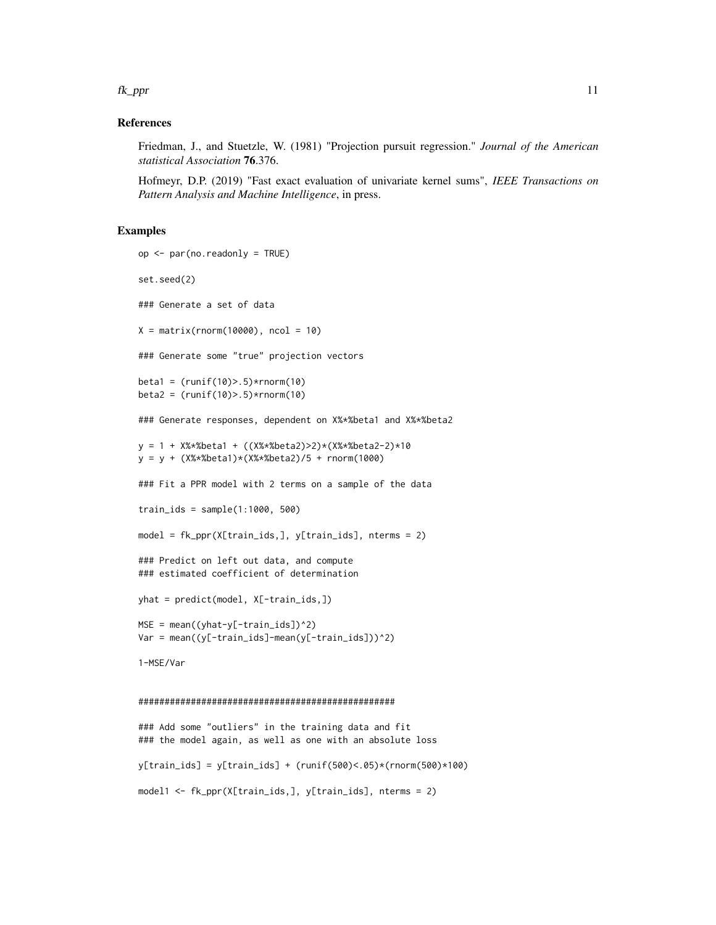#### fk\_ppr 11

#### References

Friedman, J., and Stuetzle, W. (1981) "Projection pursuit regression." *Journal of the American statistical Association* 76.376.

Hofmeyr, D.P. (2019) "Fast exact evaluation of univariate kernel sums", *IEEE Transactions on Pattern Analysis and Machine Intelligence*, in press.

#### Examples

```
op <- par(no.readonly = TRUE)
set.seed(2)
### Generate a set of data
X = matrix(rnorm(10000), ncol = 10)### Generate some "true" projection vectors
beta1 = (runif(10) > .5) * rnorm(10)beta2 = (runif(10) > .5) * rnorm(10)### Generate responses, dependent on X%*%beta1 and X%*%beta2
y = 1 + X%*%beta1 + ((X%*%beta2)>2)*(X%*%beta2-2)*10
y = y + (X%*%beta1)*(X%*%beta2)/5 + rnorm(1000)
### Fit a PPR model with 2 terms on a sample of the data
train_ids = sample(1:1000, 500)
model = fk_ppr(X[train_ids,], y[train_ids], nterms = 2)
### Predict on left out data, and compute
### estimated coefficient of determination
yhat = predict(model, X[-train_ids,])
MSE = mean((yhat-y[-train\_ids])^2)Var = mean((y[-train\_ids]-mean(y[-train\_ids]))^2)1-MSE/Var
#################################################
### Add some "outliers" in the training data and fit
### the model again, as well as one with an absolute loss
```
y[train\_ids] = y[train\_ids] + (runif(500)<.05)\*(rnorm(500)\*100) model1 <- fk\_ppr(X[train\_ids,], y[train\_ids], nterms = 2)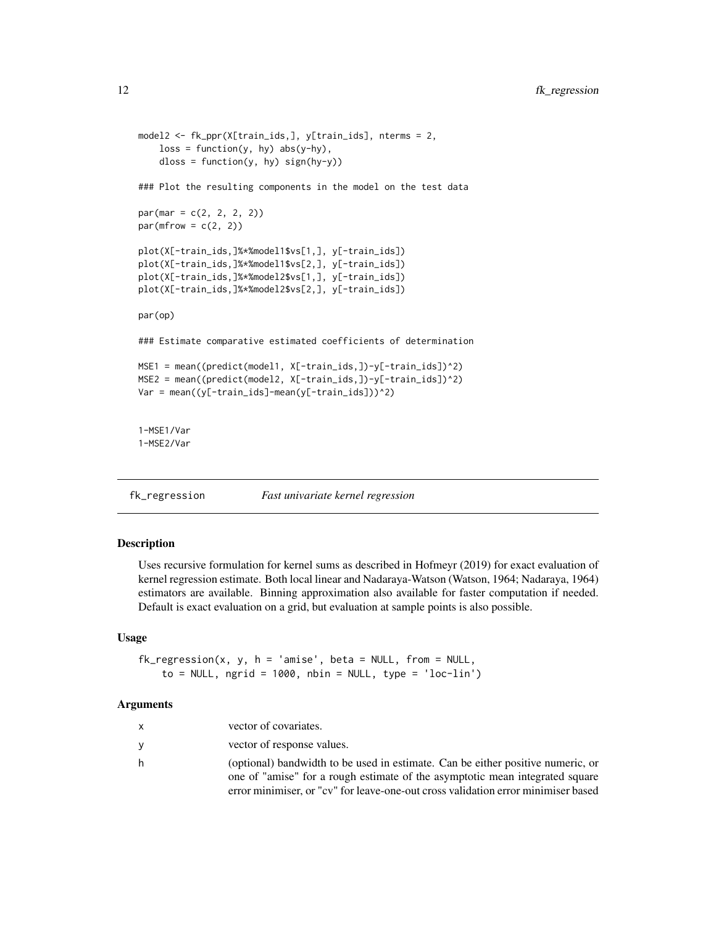```
model2 <- fk_ppr(X[train_ids,], y[train_ids], nterms = 2,
    loss = function(y, hy) abs(y-hy),dloss = function(y, hy) sign(hy-y))### Plot the resulting components in the model on the test data
par(max = c(2, 2, 2, 2))par(mfrow = c(2, 2))plot(X[-train_ids,]%*%model1$vs[1,], y[-train_ids])
plot(X[-train_ids,]%*%model1$vs[2,], y[-train_ids])
plot(X[-train_ids,]%*%model2$vs[1,], y[-train_ids])
plot(X[-train_ids,]%*%model2$vs[2,], y[-train_ids])
par(op)
### Estimate comparative estimated coefficients of determination
MSE1 = mean((predict(model1, X[-train_ids,])-y[-train_ids])^2)
MSE2 = mean((predict(model2, X[-train_ids,])-y[-train_ids])^2)
Var = mean((y[-train_ids]-mean(y[-train_ids]))^2)
1-MSE1/Var
1-MSE2/Var
```

```
fk_regression Fast univariate kernel regression
```
Uses recursive formulation for kernel sums as described in Hofmeyr (2019) for exact evaluation of kernel regression estimate. Both local linear and Nadaraya-Watson (Watson, 1964; Nadaraya, 1964) estimators are available. Binning approximation also available for faster computation if needed. Default is exact evaluation on a grid, but evaluation at sample points is also possible.

#### Usage

```
fk\_regression(x, y, h = 'amise', beta = NULL, from = NULL,to = NULL, ngrid = 1000, nbin = NULL, type = 'loc-lin')
```

| $\mathbf{x}$ | vector of covariates.                                                             |
|--------------|-----------------------------------------------------------------------------------|
| <b>y</b>     | vector of response values.                                                        |
| - h          | (optional) bandwidth to be used in estimate. Can be either positive numeric, or   |
|              | one of "amise" for a rough estimate of the asymptotic mean integrated square      |
|              | error minimiser, or "cv" for leave-one-out cross validation error minimiser based |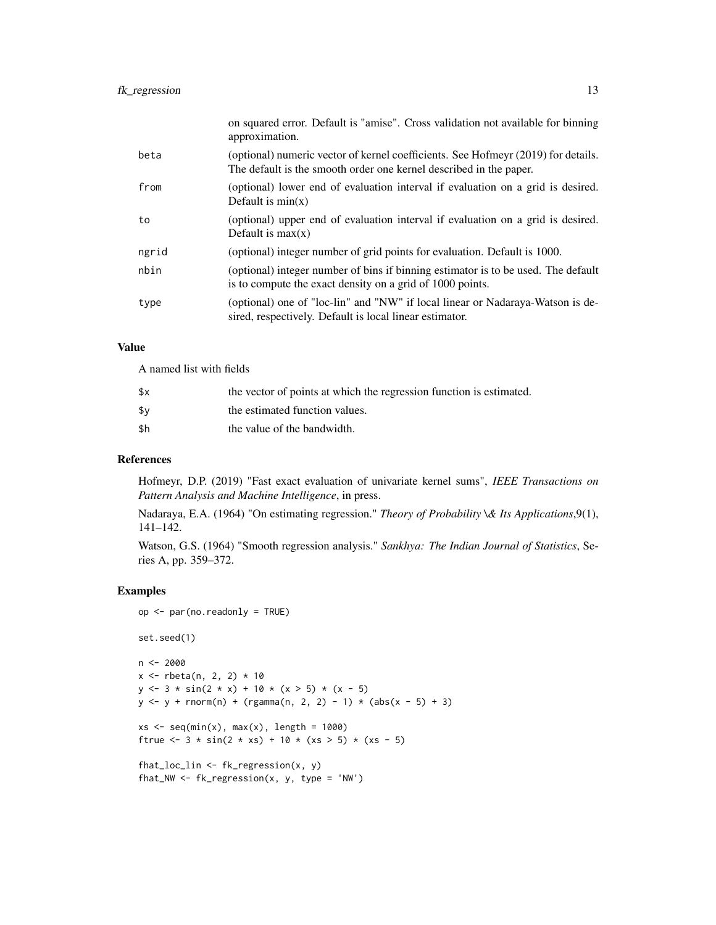|       | on squared error. Default is "amise". Cross validation not available for binning<br>approximation.                                                      |
|-------|---------------------------------------------------------------------------------------------------------------------------------------------------------|
| beta  | (optional) numeric vector of kernel coefficients. See Hofmeyr (2019) for details.<br>The default is the smooth order one kernel described in the paper. |
| from  | (optional) lower end of evaluation interval if evaluation on a grid is desired.<br>Default is $min(x)$                                                  |
| to    | (optional) upper end of evaluation interval if evaluation on a grid is desired.<br>Default is $max(x)$                                                  |
| ngrid | (optional) integer number of grid points for evaluation. Default is 1000.                                                                               |
| nbin  | (optional) integer number of bins if binning estimator is to be used. The default<br>is to compute the exact density on a grid of 1000 points.          |
| type  | (optional) one of "loc-lin" and "NW" if local linear or Nadaraya-Watson is de-<br>sired, respectively. Default is local linear estimator.               |

#### Value

A named list with fields

| \$x | the vector of points at which the regression function is estimated. |
|-----|---------------------------------------------------------------------|
| \$٧ | the estimated function values.                                      |
| \$h | the value of the bandwidth.                                         |

#### References

Hofmeyr, D.P. (2019) "Fast exact evaluation of univariate kernel sums", *IEEE Transactions on Pattern Analysis and Machine Intelligence*, in press.

Nadaraya, E.A. (1964) "On estimating regression." *Theory of Probability \& Its Applications*,9(1), 141–142.

Watson, G.S. (1964) "Smooth regression analysis." *Sankhya: The Indian Journal of Statistics*, Series A, pp. 359–372.

#### Examples

```
op <- par(no.readonly = TRUE)
set.seed(1)
n <- 2000
x \le - rbeta(n, 2, 2) * 10
y \le -3 * sin(2 * x) + 10 * (x > 5) * (x - 5)y \le -y + \text{norm}(n) + (\text{rgamma}(n, 2, 2) - 1) \times (\text{abs}(x - 5) + 3)xs \leq seq(min(x), max(x), length = 1000)ftrue <- 3 * sin(2 * xs) + 10 * (xs > 5) * (xs - 5)fhat_loc_lin <- fk_regression(x, y)
fhat_NW <- fk\_regression(x, y, type = 'NW')
```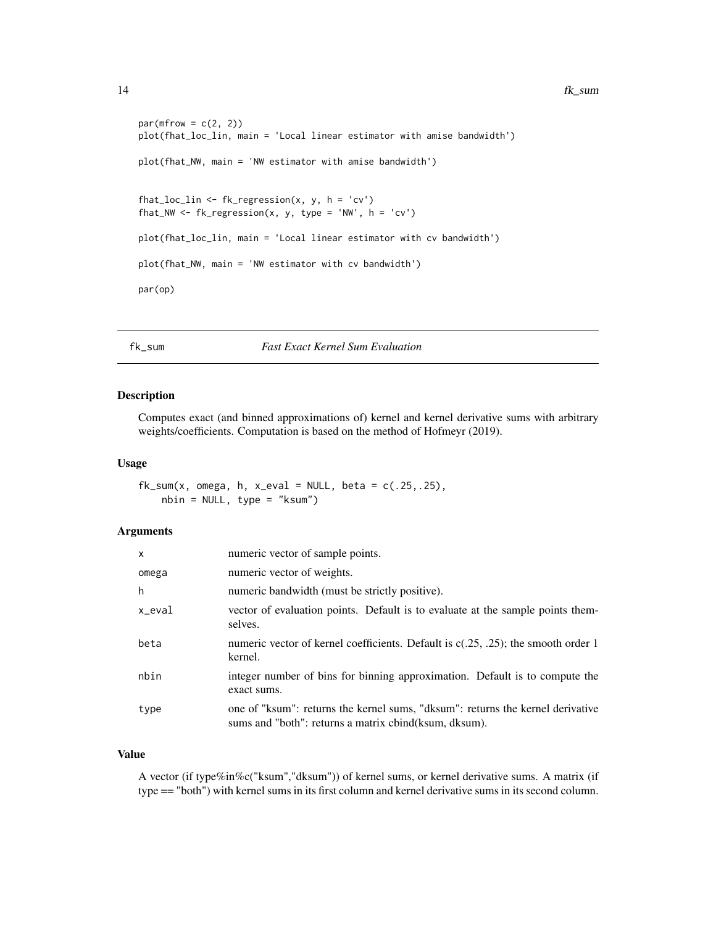```
par(mfrow = c(2, 2))plot(fhat_loc_lin, main = 'Local linear estimator with amise bandwidth')
plot(fhat_NW, main = 'NW estimator with amise bandwidth')
fhat_loc_lin <- fk\_regression(x, y, h = 'cv')fhat_NW <- fk\_regression(x, y, type = 'NW', h = 'cv')plot(fhat_loc_lin, main = 'Local linear estimator with cv bandwidth')
plot(fhat_NW, main = 'NW estimator with cv bandwidth')
par(op)
```
fk\_sum *Fast Exact Kernel Sum Evaluation*

#### Description

Computes exact (and binned approximations of) kernel and kernel derivative sums with arbitrary weights/coefficients. Computation is based on the method of Hofmeyr (2019).

#### Usage

 $fk\_sum(x, \text{omega}, h, x\_eval = NULL, beta = c(.25,.25),$ nbin = NULL, type = "ksum")

#### Arguments

| $\mathsf{x}$ | numeric vector of sample points.                                                                                                        |
|--------------|-----------------------------------------------------------------------------------------------------------------------------------------|
| omega        | numeric vector of weights.                                                                                                              |
| h            | numeric bandwidth (must be strictly positive).                                                                                          |
| x_eval       | vector of evaluation points. Default is to evaluate at the sample points them-<br>selves.                                               |
| beta         | numeric vector of kernel coefficients. Default is $c(.25, .25)$ ; the smooth order 1<br>kernel.                                         |
| nbin         | integer number of bins for binning approximation. Default is to compute the<br>exact sums.                                              |
| type         | one of "ksum": returns the kernel sums, "dksum": returns the kernel derivative<br>sums and "both": returns a matrix cbind(ksum, dksum). |

#### Value

A vector (if type%in%c("ksum","dksum")) of kernel sums, or kernel derivative sums. A matrix (if type == "both") with kernel sums in its first column and kernel derivative sums in its second column.

<span id="page-13-0"></span>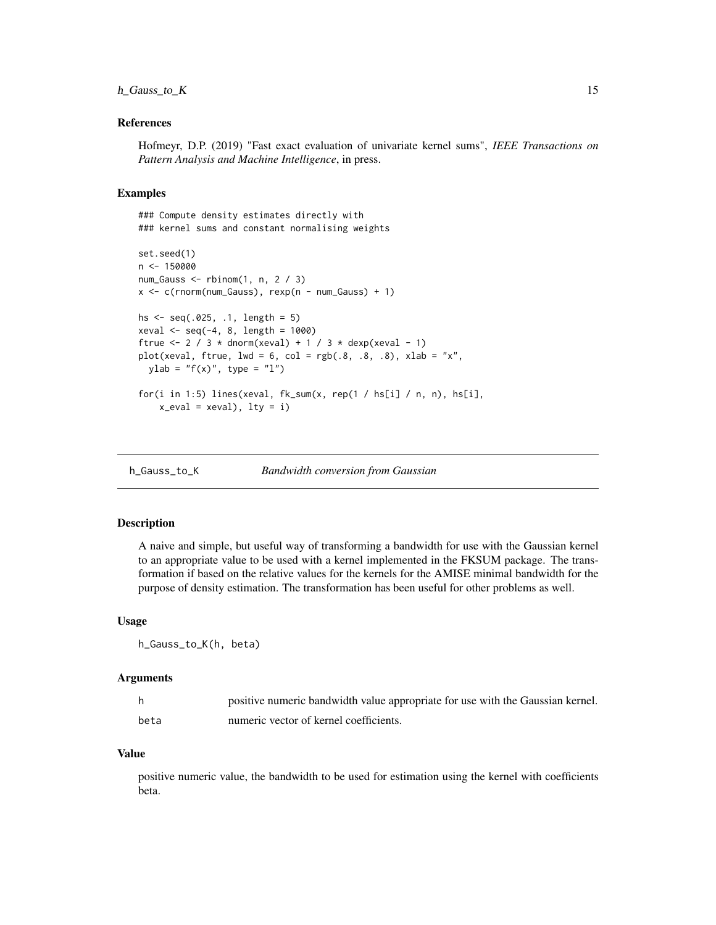#### <span id="page-14-0"></span>h\_Gauss\_to\_K 15

#### References

Hofmeyr, D.P. (2019) "Fast exact evaluation of univariate kernel sums", *IEEE Transactions on Pattern Analysis and Machine Intelligence*, in press.

#### Examples

```
### Compute density estimates directly with
### kernel sums and constant normalising weights
set.seed(1)
n < -150000num_Gauss <- rbinom(1, n, 2 / 3)
x \leq c (rnorm(num_Gauss), rexp(n - num_Gauss) + 1)
hs <- seq(.025, .1, length = 5)
xeval < -seq(-4, 8, length = 1000)ftrue \le 2 / 3 * dnorm(xeval) + 1 / 3 * dexp(xeval - 1)
plot(xeval, ftrue, lwd = 6, col = rgb(.8, .8, .8), xlab = "x",ylab = "f(x)", type = "l")
for(i in 1:5) lines(xeval, fk\_sum(x, rep(1 / hs[i] / n, n), hs[i],x<sub>-</sub>eval = xeval, lty = i)
```
h\_Gauss\_to\_K *Bandwidth conversion from Gaussian*

#### Description

A naive and simple, but useful way of transforming a bandwidth for use with the Gaussian kernel to an appropriate value to be used with a kernel implemented in the FKSUM package. The transformation if based on the relative values for the kernels for the AMISE minimal bandwidth for the purpose of density estimation. The transformation has been useful for other problems as well.

#### Usage

h\_Gauss\_to\_K(h, beta)

#### Arguments

|      | positive numeric bandwidth value appropriate for use with the Gaussian kernel. |
|------|--------------------------------------------------------------------------------|
| beta | numeric vector of kernel coefficients.                                         |

#### Value

positive numeric value, the bandwidth to be used for estimation using the kernel with coefficients beta.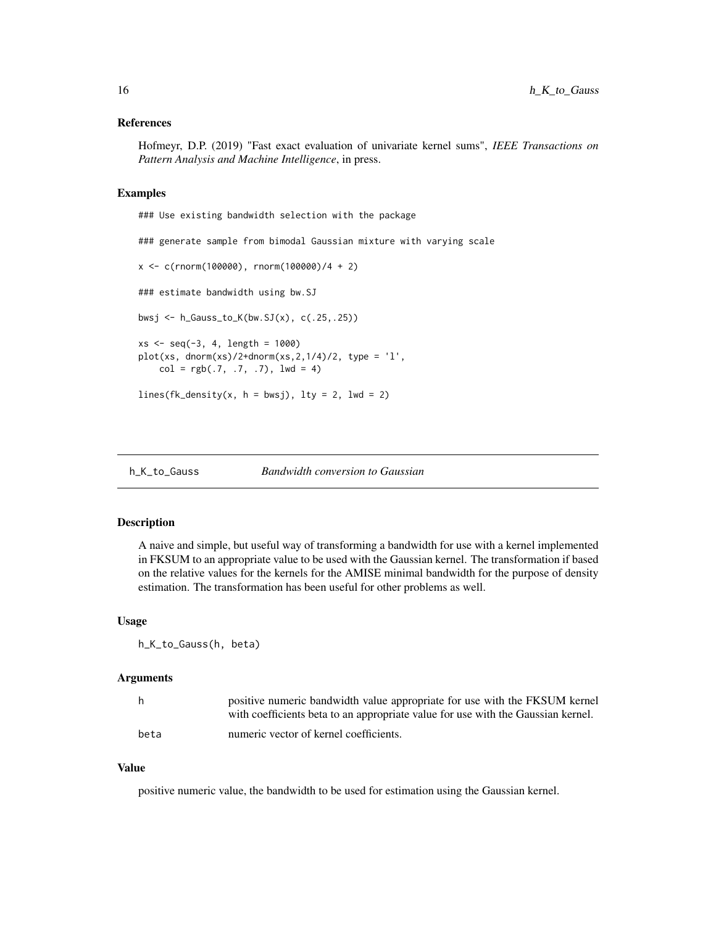#### <span id="page-15-0"></span>References

Hofmeyr, D.P. (2019) "Fast exact evaluation of univariate kernel sums", *IEEE Transactions on Pattern Analysis and Machine Intelligence*, in press.

#### Examples

```
### Use existing bandwidth selection with the package
### generate sample from bimodal Gaussian mixture with varying scale
x <- c(rnorm(100000), rnorm(100000)/4 + 2)
### estimate bandwidth using bw.SJ
bwsj <- h_Gauss_to_K(bw.SJ(x), c(.25,.25))
xs < - seq(-3, 4, length = 1000)plot(xs, dnorm(xs)/2+dnorm(xs, 2, 1/4)/2, type = '1',
   col = rgb(.7, .7, .7), 1wd = 4)lines(fk_density(x, h = bwsj), lty = 2, lwd = 2)
```
h\_K\_to\_Gauss *Bandwidth conversion to Gaussian*

#### Description

A naive and simple, but useful way of transforming a bandwidth for use with a kernel implemented in FKSUM to an appropriate value to be used with the Gaussian kernel. The transformation if based on the relative values for the kernels for the AMISE minimal bandwidth for the purpose of density estimation. The transformation has been useful for other problems as well.

#### Usage

h\_K\_to\_Gauss(h, beta)

#### Arguments

| h.   | positive numeric bandwidth value appropriate for use with the FKSUM kernel       |
|------|----------------------------------------------------------------------------------|
|      | with coefficients beta to an appropriate value for use with the Gaussian kernel. |
| beta | numeric vector of kernel coefficients.                                           |

#### Value

positive numeric value, the bandwidth to be used for estimation using the Gaussian kernel.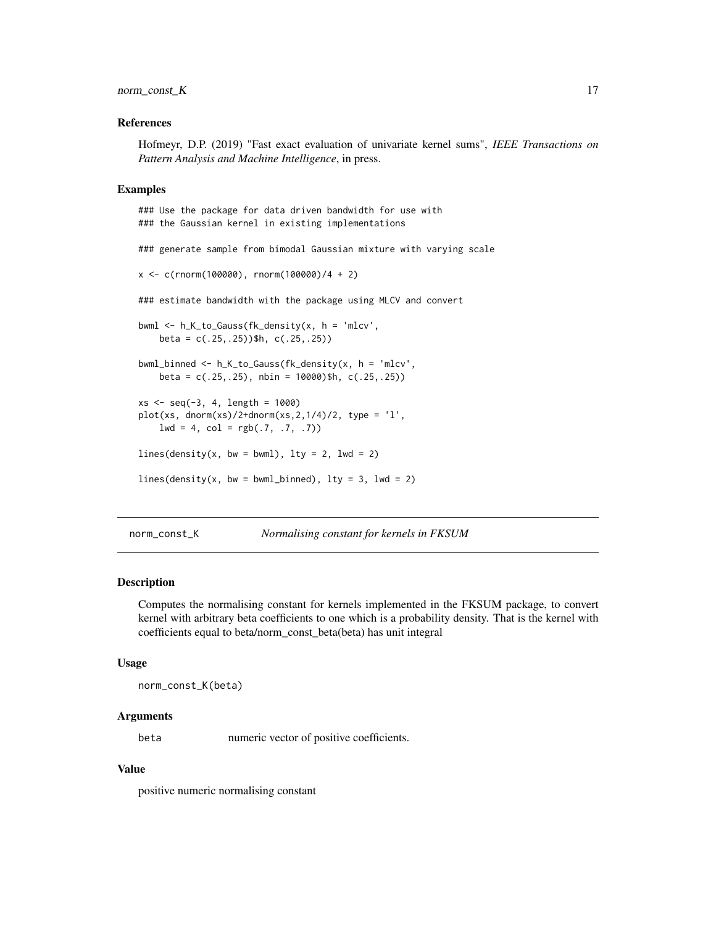# <span id="page-16-0"></span>norm\_const\_K 17

#### References

Hofmeyr, D.P. (2019) "Fast exact evaluation of univariate kernel sums", *IEEE Transactions on Pattern Analysis and Machine Intelligence*, in press.

#### Examples

### Use the package for data driven bandwidth for use with ### the Gaussian kernel in existing implementations ### generate sample from bimodal Gaussian mixture with varying scale  $x \leq -c(\text{rnorm}(100000), \text{rnorm}(100000)/4 + 2)$ ### estimate bandwidth with the package using MLCV and convert bwml <- h\_K\_to\_Gauss(fk\_density(x, h = 'mlcv', beta =  $c(.25,.25))$ \$h,  $c(.25,.25))$ bwml\_binned <- h\_K\_to\_Gauss(fk\_density(x, h = 'mlcv', beta =  $c(.25,.25)$ , nbin = 10000)\$h,  $c(.25,.25)$ )  $xs < - seq(-3, 4, length = 1000)$ plot(xs, dnorm(xs)/2+dnorm(xs, 2, 1/4)/2, type =  $'1'$ ,  $1wd = 4$ ,  $col = rgb(.7, .7, .7))$ lines(density(x, bw = bwml), lty = 2, lwd = 2) lines(density(x, bw = bwml\_binned), lty = 3, lwd = 2)

norm\_const\_K *Normalising constant for kernels in FKSUM*

#### Description

Computes the normalising constant for kernels implemented in the FKSUM package, to convert kernel with arbitrary beta coefficients to one which is a probability density. That is the kernel with coefficients equal to beta/norm\_const\_beta(beta) has unit integral

#### Usage

norm\_const\_K(beta)

# Arguments

beta numeric vector of positive coefficients.

#### Value

positive numeric normalising constant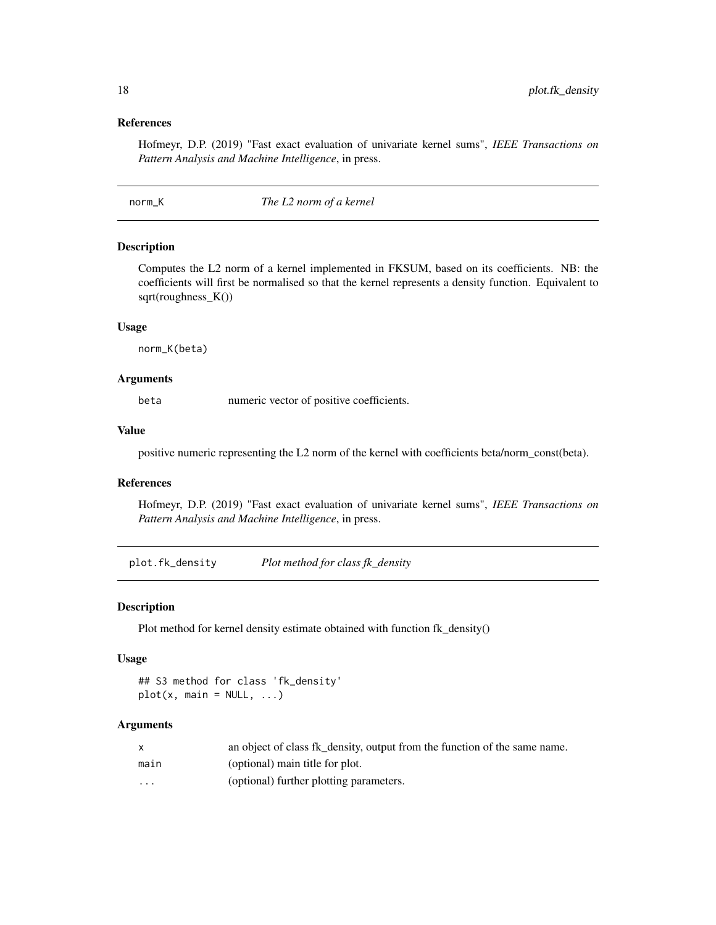# <span id="page-17-0"></span>References

Hofmeyr, D.P. (2019) "Fast exact evaluation of univariate kernel sums", *IEEE Transactions on Pattern Analysis and Machine Intelligence*, in press.

#### Description

Computes the L2 norm of a kernel implemented in FKSUM, based on its coefficients. NB: the coefficients will first be normalised so that the kernel represents a density function. Equivalent to sqrt(roughness\_K())

#### Usage

norm\_K(beta)

# Arguments

beta numeric vector of positive coefficients.

#### Value

positive numeric representing the L2 norm of the kernel with coefficients beta/norm\_const(beta).

#### References

Hofmeyr, D.P. (2019) "Fast exact evaluation of univariate kernel sums", *IEEE Transactions on Pattern Analysis and Machine Intelligence*, in press.

plot.fk\_density *Plot method for class fk\_density*

#### Description

Plot method for kernel density estimate obtained with function fk\_density()

#### Usage

## S3 method for class 'fk\_density'  $plot(x, main = NULL, ...)$ 

|          | an object of class fk_density, output from the function of the same name. |
|----------|---------------------------------------------------------------------------|
| main     | (optional) main title for plot.                                           |
| $\cdots$ | (optional) further plotting parameters.                                   |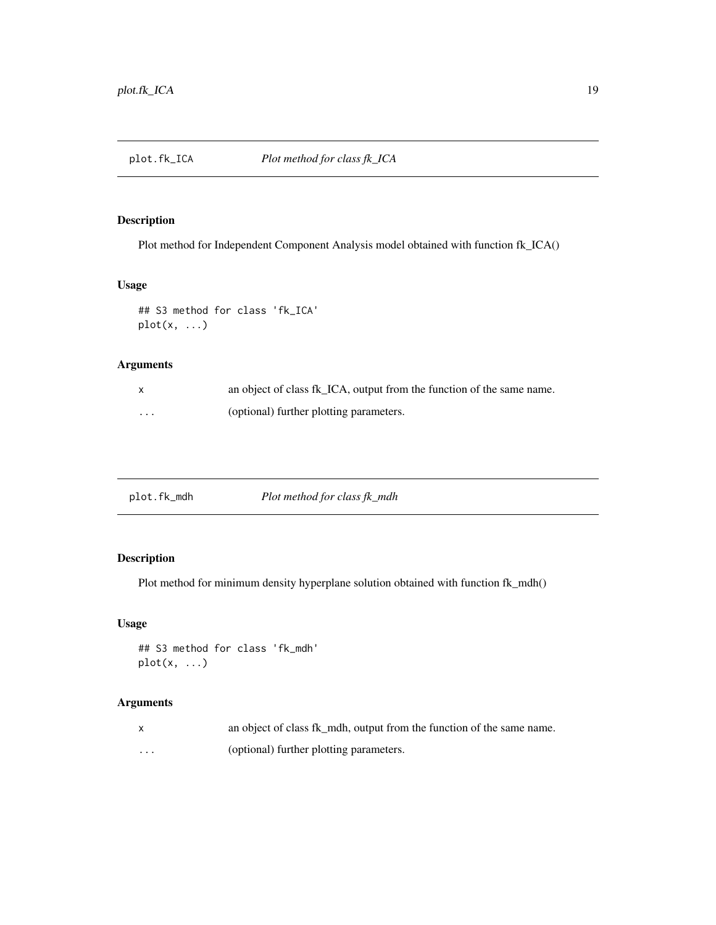<span id="page-18-0"></span>

Plot method for Independent Component Analysis model obtained with function fk\_ICA()

# Usage

```
## S3 method for class 'fk_ICA'
plot(x, ...)
```
# Arguments

| X.       | an object of class fk_ICA, output from the function of the same name. |
|----------|-----------------------------------------------------------------------|
| $\cdots$ | (optional) further plotting parameters.                               |

| plot.fk_mdh | Plot method for class fk_mdh |
|-------------|------------------------------|
|             |                              |

# Description

Plot method for minimum density hyperplane solution obtained with function fk\_mdh()

# Usage

```
## S3 method for class 'fk_mdh'
plot(x, \ldots)
```

|          | an object of class fk mdh, output from the function of the same name. |
|----------|-----------------------------------------------------------------------|
| $\cdots$ | (optional) further plotting parameters.                               |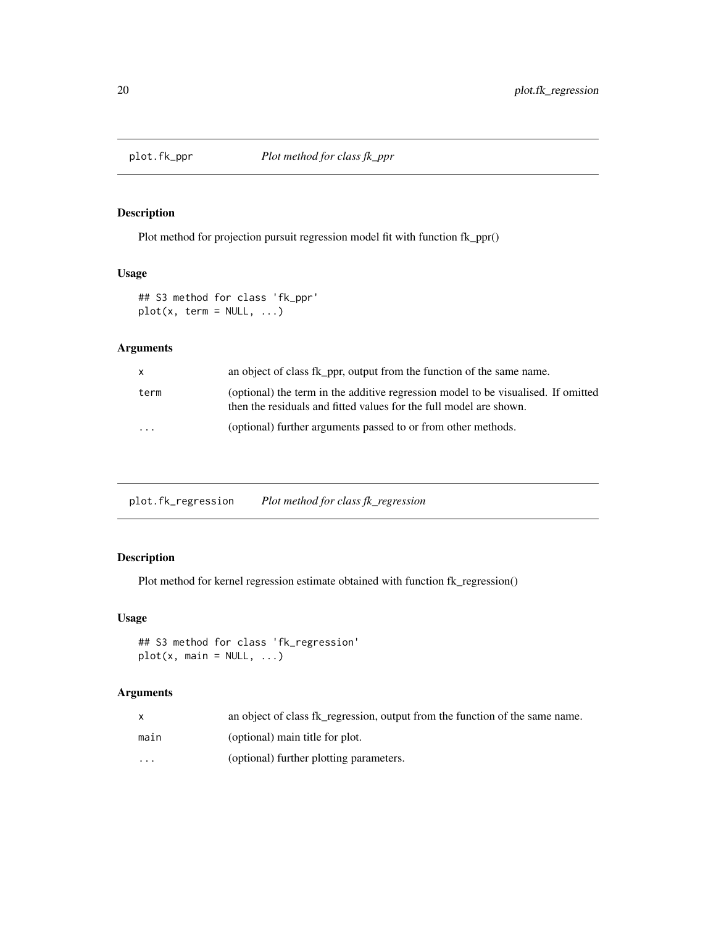<span id="page-19-0"></span>

Plot method for projection pursuit regression model fit with function fk\_ppr()

# Usage

## S3 method for class 'fk\_ppr'  $plot(x, term = NULL, ...)$ 

# Arguments

| X        | an object of class fk ppr, output from the function of the same name.                                                                                   |
|----------|---------------------------------------------------------------------------------------------------------------------------------------------------------|
| term     | (optional) the term in the additive regression model to be visualised. If omitted<br>then the residuals and fitted values for the full model are shown. |
| $\cdots$ | (optional) further arguments passed to or from other methods.                                                                                           |

plot.fk\_regression *Plot method for class fk\_regression*

# Description

Plot method for kernel regression estimate obtained with function fk\_regression()

# Usage

```
## S3 method for class 'fk_regression'
plot(x, main = NULL, ...)
```

|                   | an object of class fk_regression, output from the function of the same name. |
|-------------------|------------------------------------------------------------------------------|
| main              | (optional) main title for plot.                                              |
| $\cdot\cdot\cdot$ | (optional) further plotting parameters.                                      |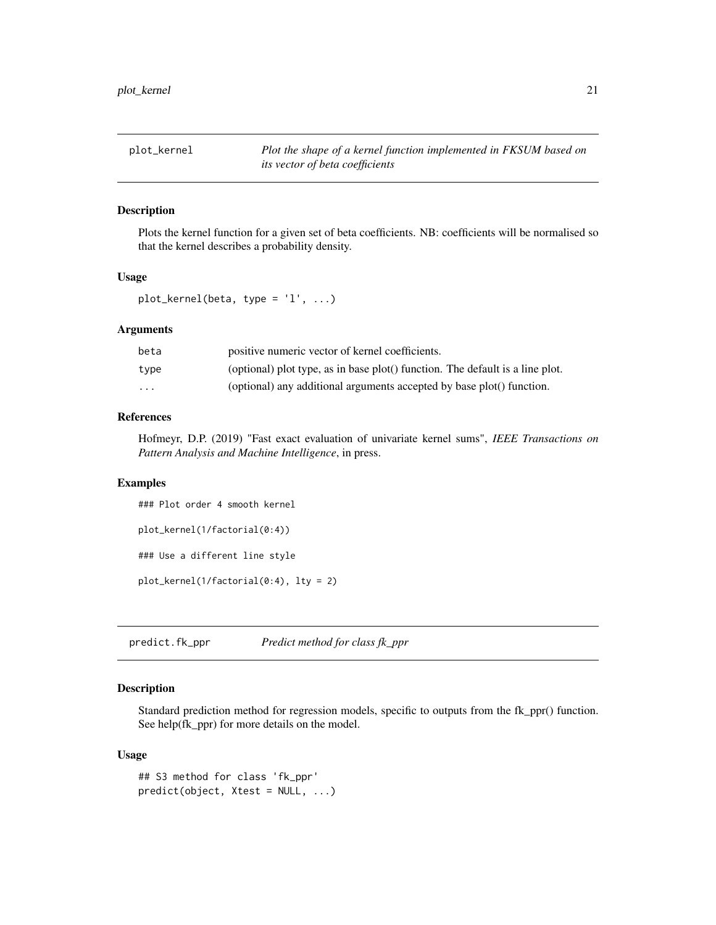<span id="page-20-0"></span>plot\_kernel *Plot the shape of a kernel function implemented in FKSUM based on its vector of beta coefficients*

# Description

Plots the kernel function for a given set of beta coefficients. NB: coefficients will be normalised so that the kernel describes a probability density.

#### Usage

 $plot_{\text{1}}(beta, type = 'l', ...)$ 

#### Arguments

| beta                    | positive numeric vector of kernel coefficients.                               |
|-------------------------|-------------------------------------------------------------------------------|
| type                    | (optional) plot type, as in base plot() function. The default is a line plot. |
| $\cdot$ $\cdot$ $\cdot$ | (optional) any additional arguments accepted by base plot() function.         |

# References

Hofmeyr, D.P. (2019) "Fast exact evaluation of univariate kernel sums", *IEEE Transactions on Pattern Analysis and Machine Intelligence*, in press.

#### Examples

### Plot order 4 smooth kernel

```
plot_kernel(1/factorial(0:4))
```
### Use a different line style

 $plot_{\text{1/factorial}(0:4), \text{1ty} = 2)$ 

predict.fk\_ppr *Predict method for class fk\_ppr*

#### Description

Standard prediction method for regression models, specific to outputs from the fk\_ppr() function. See help(fk\_ppr) for more details on the model.

#### Usage

```
## S3 method for class 'fk_ppr'
predict(object, Xtest = NULL, ...)
```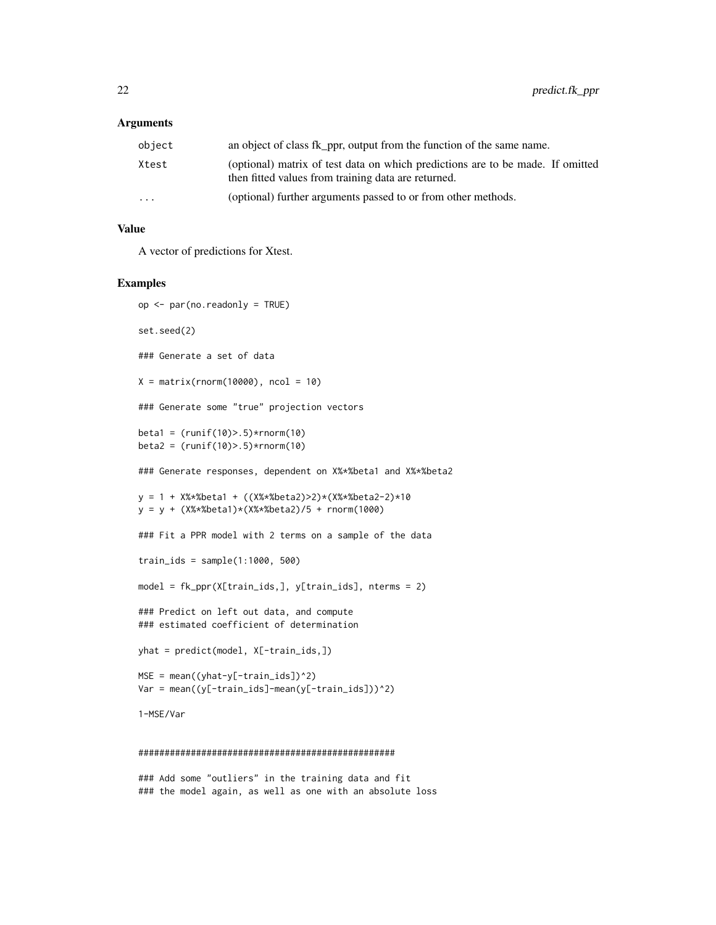#### **Arguments**

| object                  | an object of class fk ppr, output from the function of the same name.                                                                 |
|-------------------------|---------------------------------------------------------------------------------------------------------------------------------------|
| Xtest                   | (optional) matrix of test data on which predictions are to be made. If omitted<br>then fitted values from training data are returned. |
| $\cdot$ $\cdot$ $\cdot$ | (optional) further arguments passed to or from other methods.                                                                         |

# Value

A vector of predictions for Xtest.

#### Examples

```
op <- par(no.readonly = TRUE)
set.seed(2)
### Generate a set of data
X = matrix(rnorm(10000), ncol = 10)### Generate some "true" projection vectors
beta1 = (runif(10) > .5) * rnorm(10)beta2 = (runif(10) > .5) * rnorm(10)### Generate responses, dependent on X%*%beta1 and X%*%beta2
y = 1 + X%*%beta1 + ((X%*%beta2)>2)*(X%*%beta2-2)*10
y = y + (X%*%beta1)*(X%*%beta2)/5 + rnorm(1000)
### Fit a PPR model with 2 terms on a sample of the data
train_ids = sample(1:1000, 500)
model = fk_ppr(X[train_ids,], y[train_ids], nterms = 2)
### Predict on left out data, and compute
### estimated coefficient of determination
yhat = predict(model, X[-train_ids,])
MSE = mean((yhat-y[-train\_ids])^2)Var = mean((y[-train_ids]-mean(y[-train_ids]))^2)
1-MSE/Var
#################################################
```
### Add some "outliers" in the training data and fit ### the model again, as well as one with an absolute loss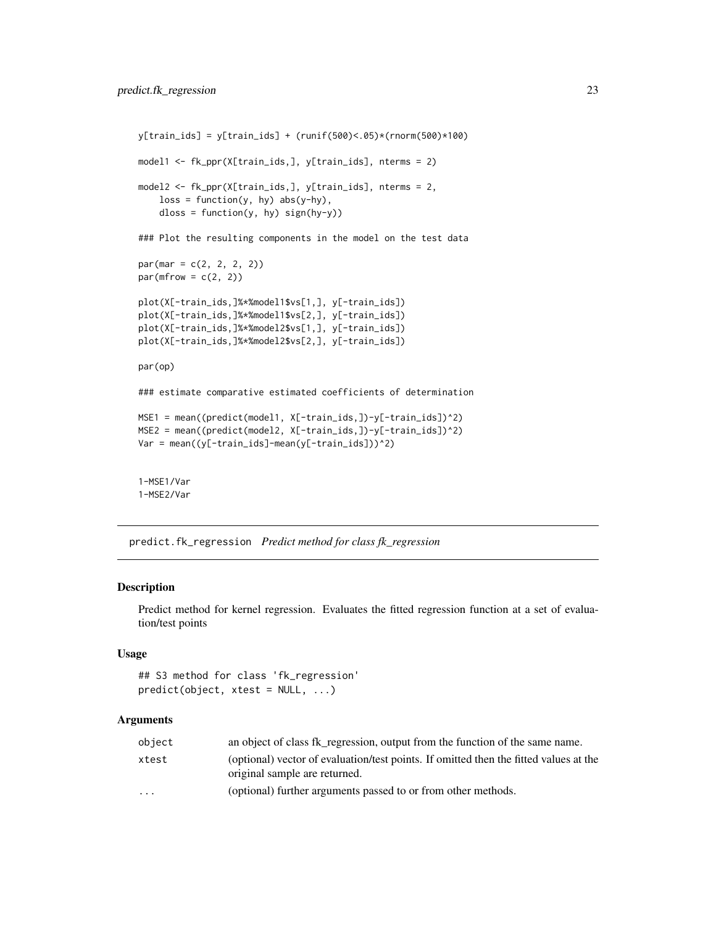```
y[train\_ids] = y[train\_ids] + (runif(500) < .05) * (rnorm(500) *100)model1 <- fk_ppr(X[train_ids,], y[train_ids], nterms = 2)
model2 <- fk_ppr(X[train_ids,], y[train_ids], nterms = 2,
   loss = function(y, hy) abs(y-hy),dloss = function(y, hy) sign(hy-y))
### Plot the resulting components in the model on the test data
par(max = c(2, 2, 2, 2))par(mfrow = c(2, 2))plot(X[-train_ids,]%*%model1$vs[1,], y[-train_ids])
plot(X[-train_ids,]%*%model1$vs[2,], y[-train_ids])
plot(X[-train_ids,]%*%model2$vs[1,], y[-train_ids])
plot(X[-train_ids,]%*%model2$vs[2,], y[-train_ids])
par(op)
### estimate comparative estimated coefficients of determination
MSE1 = mean((predict(model1, X[-train_ids,])-y[-train_ids])^2)
MSE2 = mean((predict(model2, X[-train_ids,])-y[-train_ids])^2)
Var = mean((y[-train\_ids]-mean(y[-train\_ids]))^2)1-MSE1/Var
1-MSE2/Var
```
predict.fk\_regression *Predict method for class fk\_regression*

#### Description

Predict method for kernel regression. Evaluates the fitted regression function at a set of evaluation/test points

# Usage

```
## S3 method for class 'fk_regression'
predict(object, xtest = NULL, ...)
```

| object                  | an object of class fk_regression, output from the function of the same name.          |
|-------------------------|---------------------------------------------------------------------------------------|
| xtest                   | (optional) vector of evaluation/test points. If omitted then the fitted values at the |
|                         | original sample are returned.                                                         |
| $\cdot$ $\cdot$ $\cdot$ | (optional) further arguments passed to or from other methods.                         |
|                         |                                                                                       |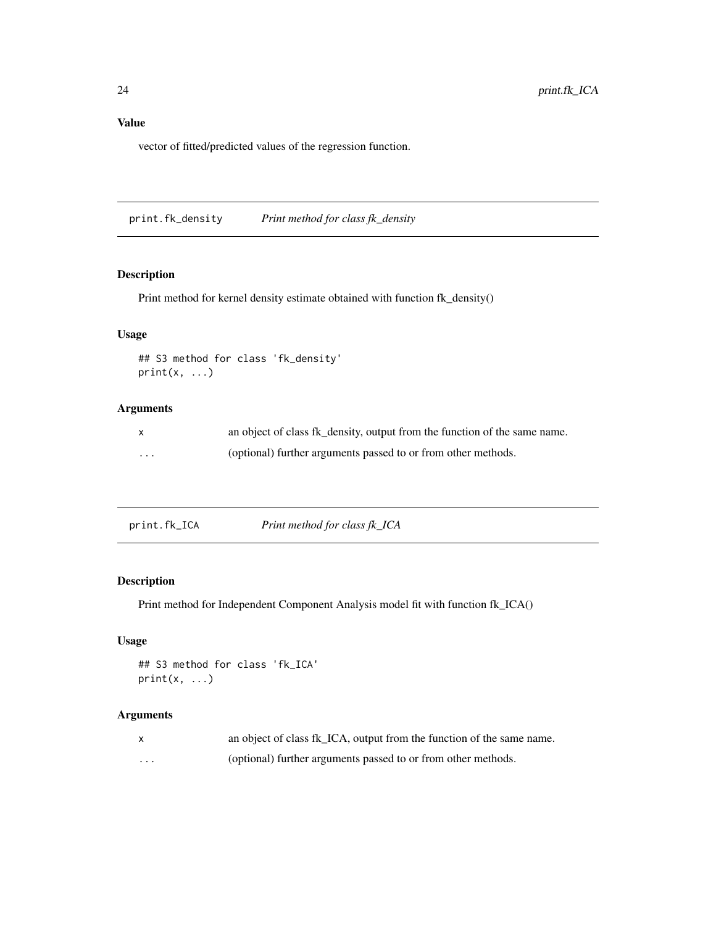# <span id="page-23-0"></span>Value

vector of fitted/predicted values of the regression function.

print.fk\_density *Print method for class fk\_density*

# Description

Print method for kernel density estimate obtained with function fk\_density()

# Usage

## S3 method for class 'fk\_density'  $print(x, \ldots)$ 

# Arguments

|   | an object of class fk_density, output from the function of the same name. |
|---|---------------------------------------------------------------------------|
| . | (optional) further arguments passed to or from other methods.             |

# Description

Print method for Independent Component Analysis model fit with function fk\_ICA()

#### Usage

```
## S3 method for class 'fk_ICA'
print(x, \ldots)
```

| X. | an object of class fk_ICA, output from the function of the same name. |
|----|-----------------------------------------------------------------------|
| .  | (optional) further arguments passed to or from other methods.         |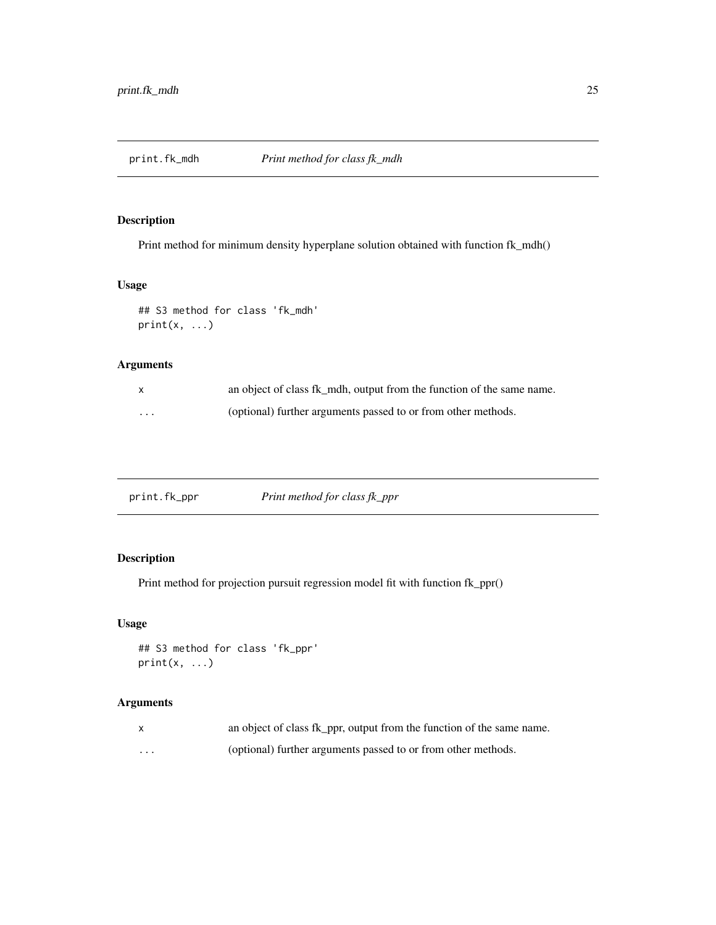<span id="page-24-0"></span>

Print method for minimum density hyperplane solution obtained with function fk\_mdh()

# Usage

```
## S3 method for class 'fk_mdh'
print(x, \ldots)
```
# Arguments

| X       | an object of class fk mdh, output from the function of the same name. |
|---------|-----------------------------------------------------------------------|
| $\cdot$ | (optional) further arguments passed to or from other methods.         |

| print.fk_ppr | Print method for class fk_ppr |
|--------------|-------------------------------|
|              |                               |

# Description

Print method for projection pursuit regression model fit with function fk\_ppr()

# Usage

```
## S3 method for class 'fk_ppr'
print(x, \ldots)
```

| X        | an object of class fk_ppr, output from the function of the same name. |
|----------|-----------------------------------------------------------------------|
| $\cdots$ | (optional) further arguments passed to or from other methods.         |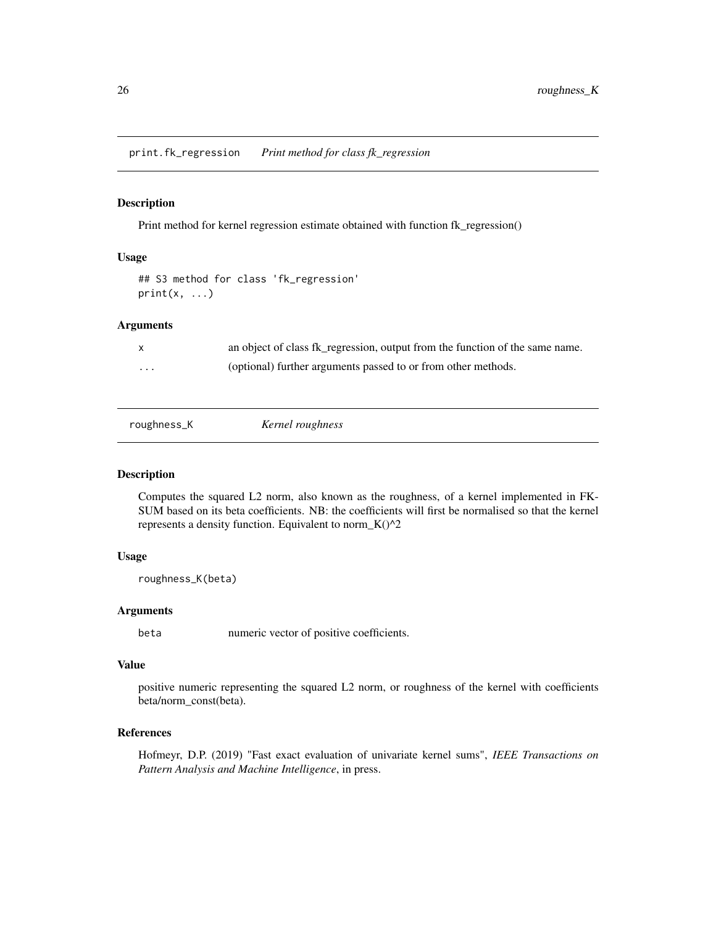<span id="page-25-0"></span>print.fk\_regression *Print method for class fk\_regression*

#### Description

Print method for kernel regression estimate obtained with function fk\_regression()

# Usage

```
## S3 method for class 'fk_regression'
print(x, \ldots)
```
#### Arguments

|   | an object of class fk_regression, output from the function of the same name. |
|---|------------------------------------------------------------------------------|
| . | (optional) further arguments passed to or from other methods.                |

| Kernel roughness<br>roughness_K |
|---------------------------------|
|---------------------------------|

# Description

Computes the squared L2 norm, also known as the roughness, of a kernel implemented in FK-SUM based on its beta coefficients. NB: the coefficients will first be normalised so that the kernel represents a density function. Equivalent to norm\_K() $\text{^2}$ 2

# Usage

roughness\_K(beta)

### Arguments

beta numeric vector of positive coefficients.

#### Value

positive numeric representing the squared L2 norm, or roughness of the kernel with coefficients beta/norm\_const(beta).

#### References

Hofmeyr, D.P. (2019) "Fast exact evaluation of univariate kernel sums", *IEEE Transactions on Pattern Analysis and Machine Intelligence*, in press.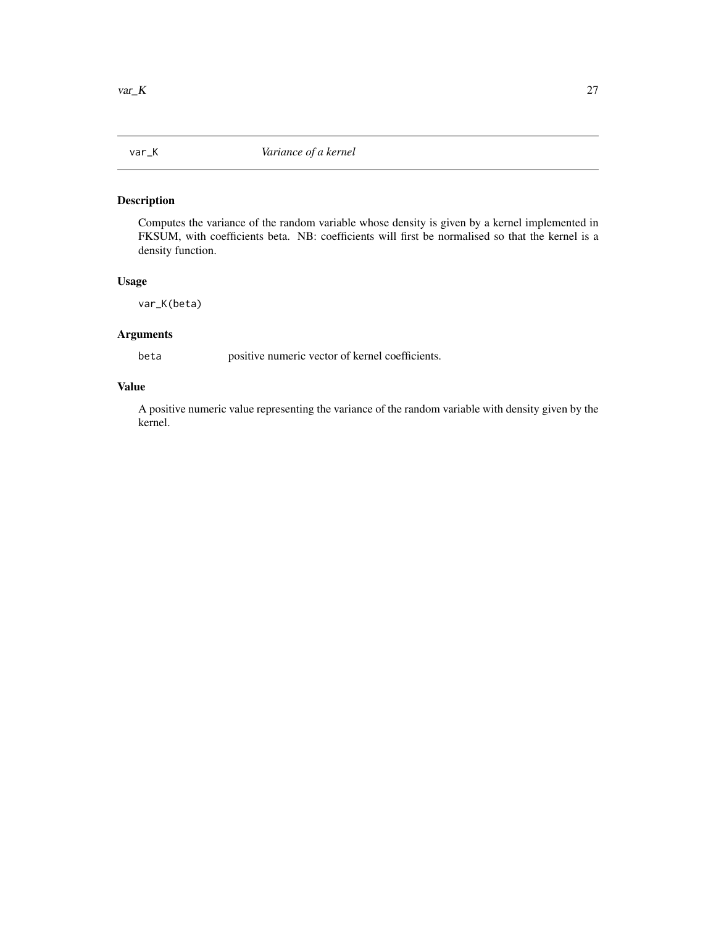<span id="page-26-0"></span>

Computes the variance of the random variable whose density is given by a kernel implemented in FKSUM, with coefficients beta. NB: coefficients will first be normalised so that the kernel is a density function.

# Usage

var\_K(beta)

# Arguments

beta positive numeric vector of kernel coefficients.

# Value

A positive numeric value representing the variance of the random variable with density given by the kernel.